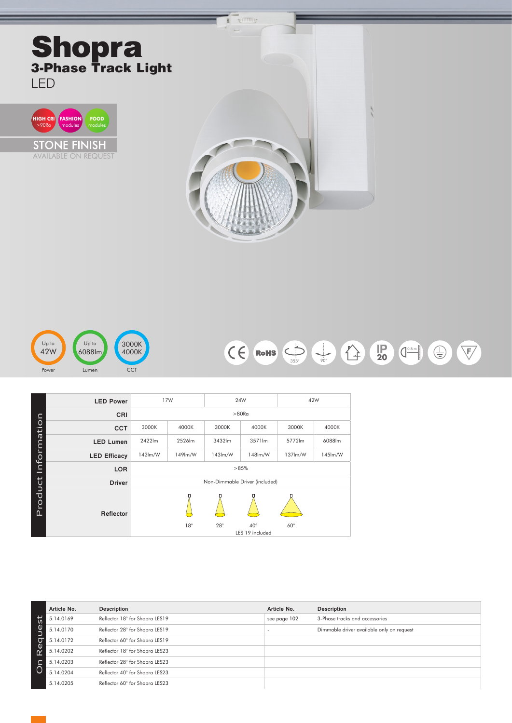





|                     | <b>LED Power</b>    | 17W                            |            |            | 24W          | 42W        |         |  |  |  |
|---------------------|---------------------|--------------------------------|------------|------------|--------------|------------|---------|--|--|--|
|                     | <b>CRI</b>          | >80R <sub>G</sub>              |            |            |              |            |         |  |  |  |
|                     | <b>CCT</b>          | 3000K                          | 4000K      | 3000K      | 4000K        | 3000K      | 4000K   |  |  |  |
|                     | <b>LED Lumen</b>    | 2422lm                         | 2526lm     | 3432lm     | 3571lm       | 5772lm     | 6088lm  |  |  |  |
|                     | <b>LED Efficacy</b> | 142lm/W                        | 149lm/W    | 143lm/W    | 148lm/W      | 137lm/W    | 145lm/W |  |  |  |
|                     | LOR                 | >85%                           |            |            |              |            |         |  |  |  |
|                     | <b>Driver</b>       | Non-Dimmable Driver (included) |            |            |              |            |         |  |  |  |
| Product Information | Reflector           |                                | $18^\circ$ | $28^\circ$ | $40^{\circ}$ | $60^\circ$ |         |  |  |  |
|                     |                     | LES 19 included                |            |            |              |            |         |  |  |  |

|             | Article No. | <b>Description</b>             | Article No.  | Description                               |
|-------------|-------------|--------------------------------|--------------|-------------------------------------------|
| sť          | 5.14.0169   | Reflector 18° for Shopra LES19 | see page 102 | 3-Phase tracks and accessories            |
| e<br>U      | 5.14.0170   | Reflector 28° for Shopra LES19 |              | Dimmable driver available only on request |
| ᠸ           | 5.14.0172   | Reflector 60° for Shopra LES19 |              |                                           |
| Re          | 5.14.0202   | Reflector 18° for Shopra LES23 |              |                                           |
| $\subseteq$ | 5.14.0203   | Reflector 28° for Shopra LES23 |              |                                           |
|             | 5.14.0204   | Reflector 40° for Shopra LES23 |              |                                           |
|             | 5.14.0205   | Reflector 60° for Shopra LES23 |              |                                           |